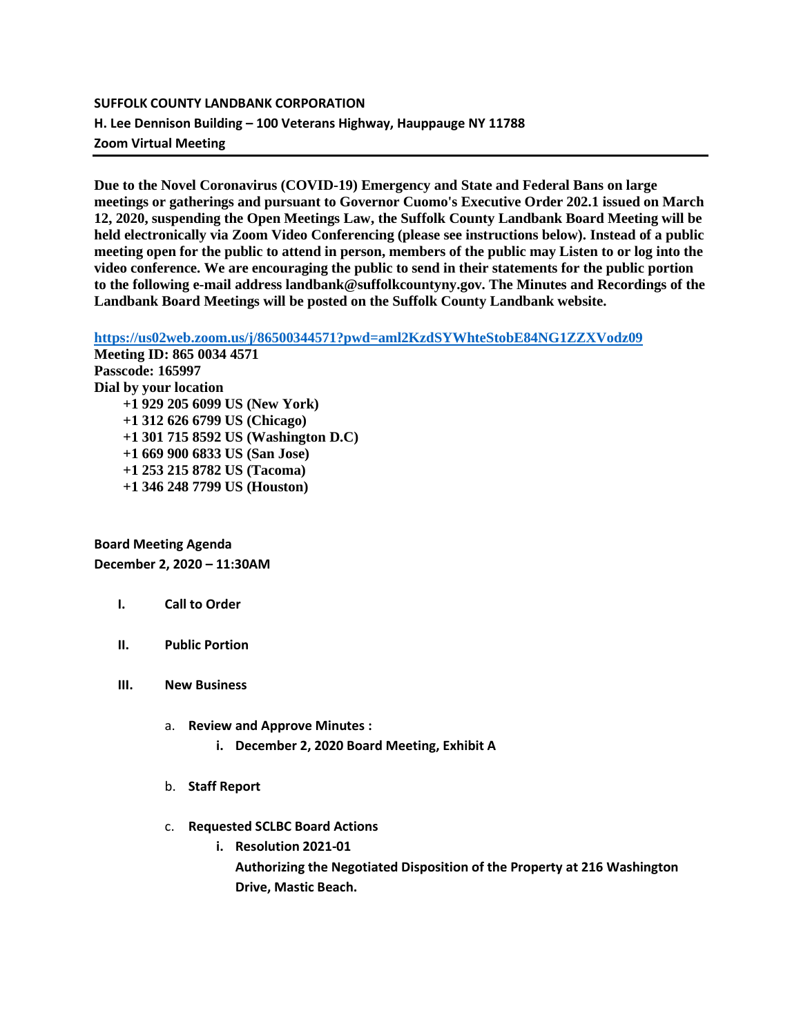# **SUFFOLK COUNTY LANDBANK CORPORATION H. Lee Dennison Building – 100 Veterans Highway, Hauppauge NY 11788 Zoom Virtual Meeting**

**Due to the Novel Coronavirus (COVID-19) Emergency and State and Federal Bans on large meetings or gatherings and pursuant to Governor Cuomo's Executive Order 202.1 issued on March 12, 2020, suspending the Open Meetings Law, the Suffolk County Landbank Board Meeting will be held electronically via Zoom Video Conferencing (please see instructions below). Instead of a public meeting open for the public to attend in person, members of the public may Listen to or log into the video conference. We are encouraging the public to send in their statements for the public portion to the following e-mail address landbank@suffolkcountyny.gov. The Minutes and Recordings of the Landbank Board Meetings will be posted on the Suffolk County Landbank website.**

**[https://us02web.zoom.us/j/86500344571?pwd=aml2KzdSYWhteStobE84NG1ZZXVodz09](https://webmail.suffolkcountyny.gov/owa/redir.aspx?C=O5mhSD8k6MRSd62FmVvIso2-5mjRBlAvIg3R0rGSMsiGBNFyX8TYCA..&URL=https%3a%2f%2fus02web.zoom.us%2fj%2f86500344571%3fpwd%3daml2KzdSYWhteStobE84NG1ZZXVodz09)**

**Meeting ID: 865 0034 4571 Passcode: 165997 Dial by your location +1 929 205 6099 US (New York) +1 312 626 6799 US (Chicago) +1 301 715 8592 US (Washington D.C) +1 669 900 6833 US (San Jose) +1 253 215 8782 US (Tacoma) +1 346 248 7799 US (Houston)**

**Board Meeting Agenda December 2, 2020 – 11:30AM**

# **I. Call to Order**

- **II. Public Portion**
- **III. New Business**
	- a. **Review and Approve Minutes :**
		- **i. December 2, 2020 Board Meeting, Exhibit A**
	- b. **Staff Report**
	- c. **Requested SCLBC Board Actions** 
		- **i. Resolution 2021-01**

**Authorizing the Negotiated Disposition of the Property at 216 Washington Drive, Mastic Beach.**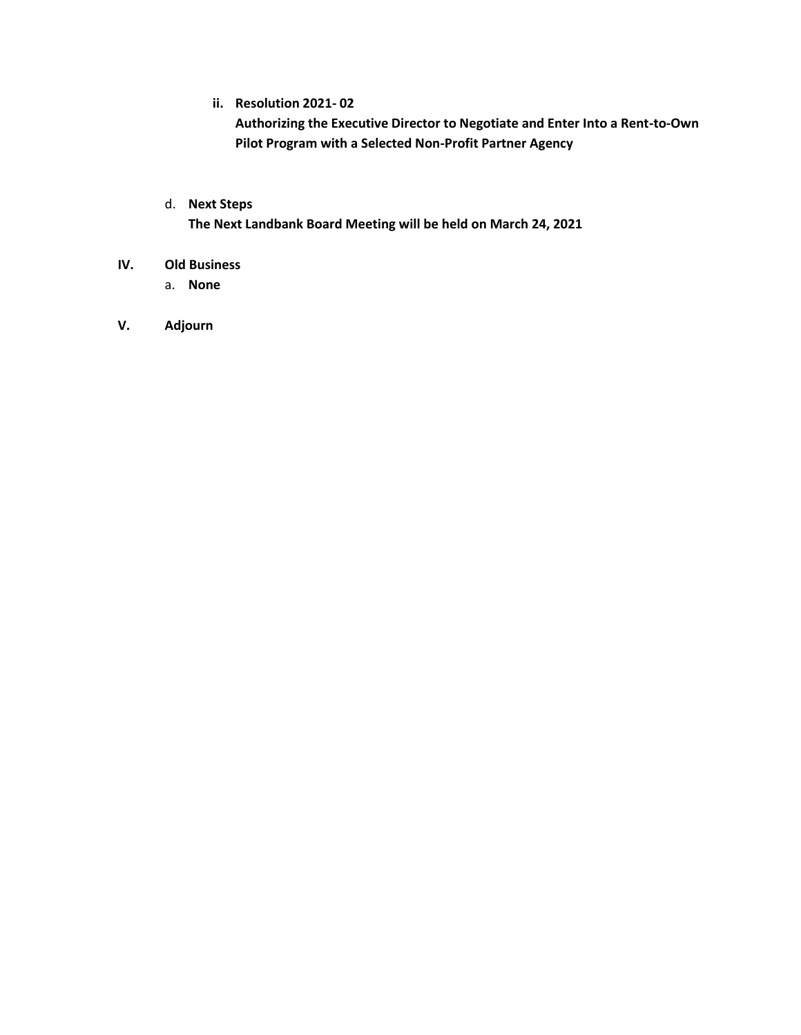**ii. Resolution 2021- 02**

**Authorizing the Executive Director to Negotiate and Enter Into a Rent-to-Own Pilot Program with a Selected Non-Profit Partner Agency**

d. **Next Steps**

**The Next Landbank Board Meeting will be held on March 24, 2021**

- **IV. Old Business**
	- a. **None**
- **V. Adjourn**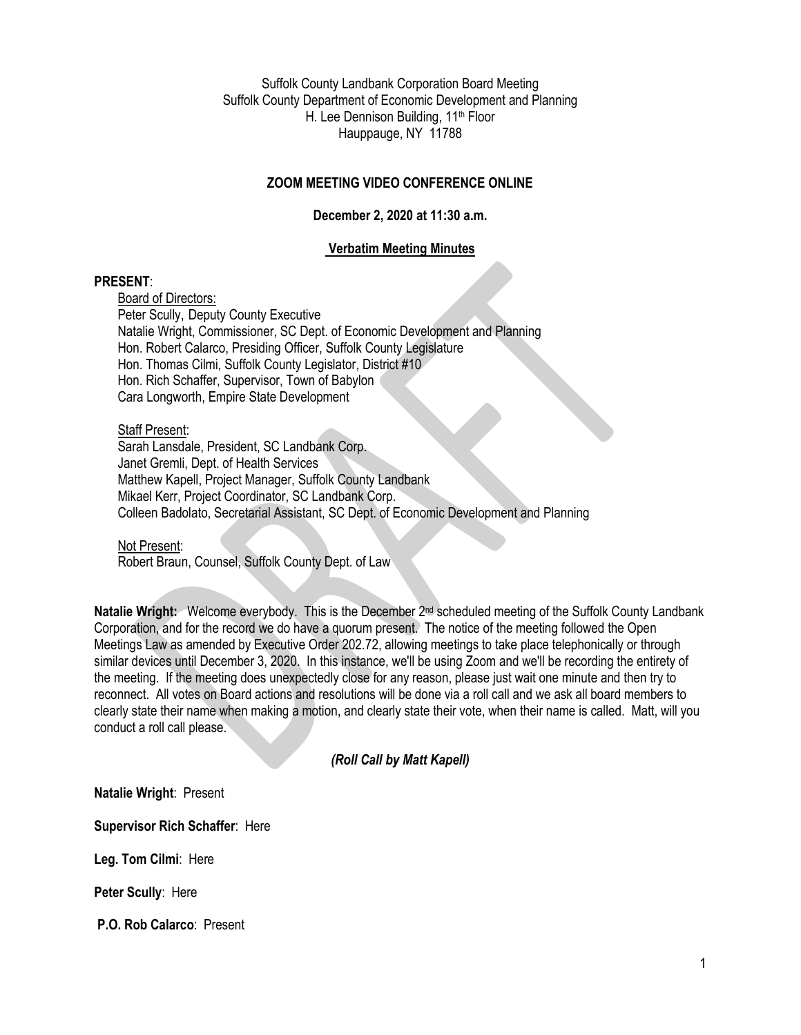Suffolk County Landbank Corporation Board Meeting Suffolk County Department of Economic Development and Planning H. Lee Dennison Building, 11<sup>th</sup> Floor Hauppauge, NY 11788

# **ZOOM MEETING VIDEO CONFERENCE ONLINE**

# **December 2, 2020 at 11:30 a.m.**

# **Verbatim Meeting Minutes**

### **PRESENT**:

Board of Directors: Peter Scully, Deputy County Executive Natalie Wright, Commissioner, SC Dept. of Economic Development and Planning Hon. Robert Calarco, Presiding Officer, Suffolk County Legislature Hon. Thomas Cilmi, Suffolk County Legislator, District #10 Hon. Rich Schaffer, Supervisor, Town of Babylon Cara Longworth, Empire State Development

### Staff Present:

Sarah Lansdale, President, SC Landbank Corp. Janet Gremli, Dept. of Health Services Matthew Kapell, Project Manager, Suffolk County Landbank Mikael Kerr, Project Coordinator, SC Landbank Corp. Colleen Badolato, Secretarial Assistant, SC Dept. of Economic Development and Planning

Not Present: Robert Braun, Counsel, Suffolk County Dept. of Law

**Natalie Wright:** Welcome everybody. This is the December 2nd scheduled meeting of the Suffolk County Landbank Corporation, and for the record we do have a quorum present. The notice of the meeting followed the Open Meetings Law as amended by Executive Order 202.72, allowing meetings to take place telephonically or through similar devices until December 3, 2020. In this instance, we'll be using Zoom and we'll be recording the entirety of the meeting. If the meeting does unexpectedly close for any reason, please just wait one minute and then try to reconnect. All votes on Board actions and resolutions will be done via a roll call and we ask all board members to clearly state their name when making a motion, and clearly state their vote, when their name is called. Matt, will you conduct a roll call please.

# *(Roll Call by Matt Kapell)*

**Natalie Wright**: Present

**Supervisor Rich Schaffer**: Here

**Leg. Tom Cilmi**: Here

**Peter Scully**: Here

**P.O. Rob Calarco**: Present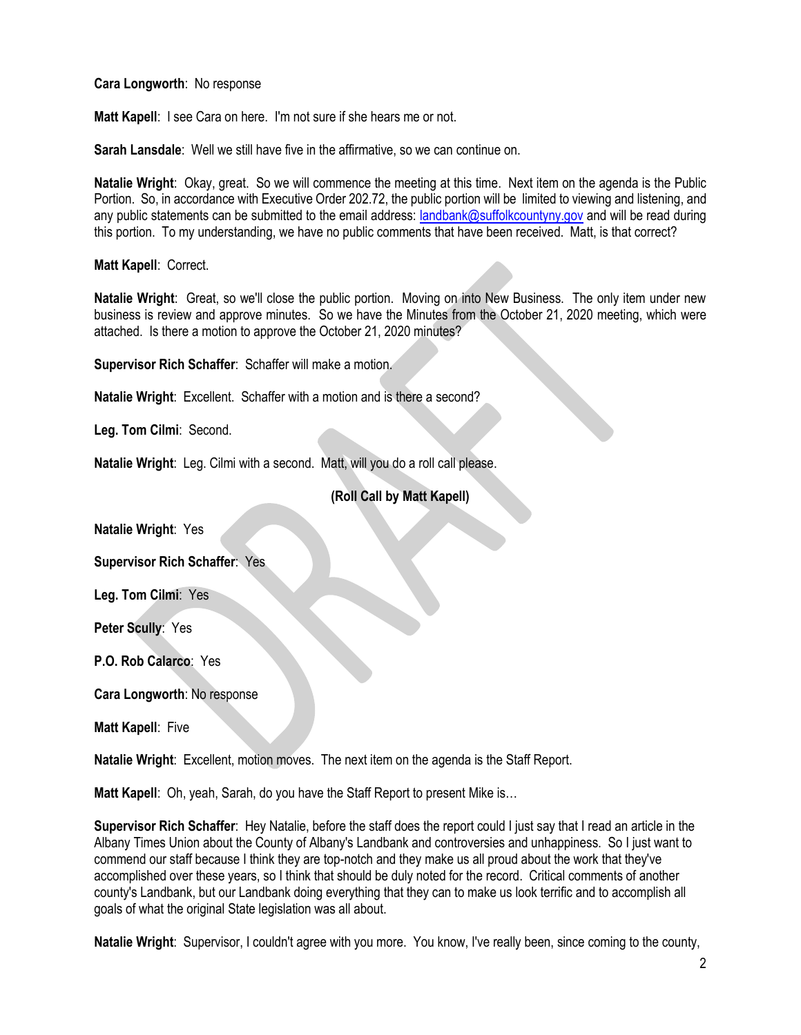**Cara Longworth**: No response

**Matt Kapell**: I see Cara on here. I'm not sure if she hears me or not.

**Sarah Lansdale**: Well we still have five in the affirmative, so we can continue on.

**Natalie Wright**: Okay, great. So we will commence the meeting at this time. Next item on the agenda is the Public Portion. So, in accordance with Executive Order 202.72, the public portion will be limited to viewing and listening, and any public statements can be submitted to the email address: [landbank@suffolkcountyny.gov](mailto:landbank@suffolkcountyny.gov) and will be read during this portion. To my understanding, we have no public comments that have been received. Matt, is that correct?

**Matt Kapell**: Correct.

**Natalie Wright**: Great, so we'll close the public portion. Moving on into New Business. The only item under new business is review and approve minutes. So we have the Minutes from the October 21, 2020 meeting, which were attached. Is there a motion to approve the October 21, 2020 minutes?

**Supervisor Rich Schaffer**: Schaffer will make a motion.

**Natalie Wright**: Excellent. Schaffer with a motion and is there a second?

**Leg. Tom Cilmi**: Second.

**Natalie Wright**: Leg. Cilmi with a second. Matt, will you do a roll call please.

# **(Roll Call by Matt Kapell)**

**Natalie Wright**: Yes

**Supervisor Rich Schaffer**: Yes

**Leg. Tom Cilmi**: Yes

**Peter Scully**: Yes

**P.O. Rob Calarco**: Yes

**Cara Longworth**: No response

**Matt Kapell**: Five

**Natalie Wright**: Excellent, motion moves. The next item on the agenda is the Staff Report.

**Matt Kapell**: Oh, yeah, Sarah, do you have the Staff Report to present Mike is…

**Supervisor Rich Schaffer**: Hey Natalie, before the staff does the report could I just say that I read an article in the Albany Times Union about the County of Albany's Landbank and controversies and unhappiness. So I just want to commend our staff because I think they are top-notch and they make us all proud about the work that they've accomplished over these years, so I think that should be duly noted for the record. Critical comments of another county's Landbank, but our Landbank doing everything that they can to make us look terrific and to accomplish all goals of what the original State legislation was all about.

**Natalie Wright**: Supervisor, I couldn't agree with you more. You know, I've really been, since coming to the county,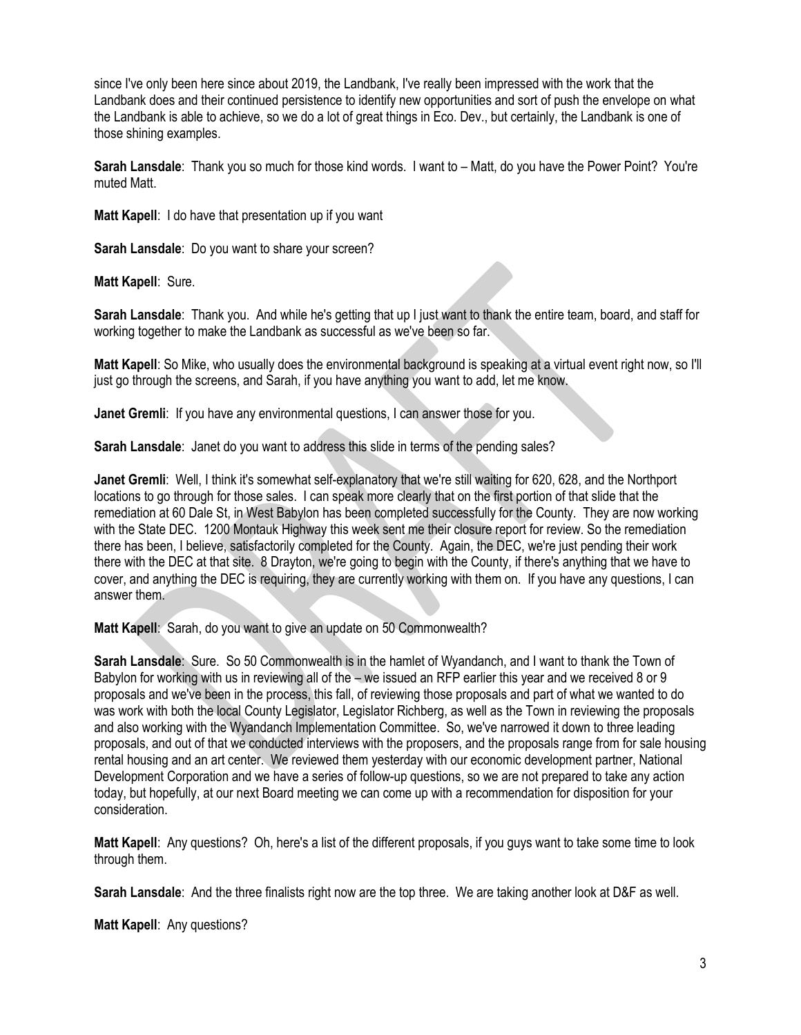since I've only been here since about 2019, the Landbank, I've really been impressed with the work that the Landbank does and their continued persistence to identify new opportunities and sort of push the envelope on what the Landbank is able to achieve, so we do a lot of great things in Eco. Dev., but certainly, the Landbank is one of those shining examples.

**Sarah Lansdale**: Thank you so much for those kind words. I want to – Matt, do you have the Power Point? You're muted Matt.

**Matt Kapell**: I do have that presentation up if you want

**Sarah Lansdale**: Do you want to share your screen?

**Matt Kapell**: Sure.

**Sarah Lansdale**: Thank you. And while he's getting that up I just want to thank the entire team, board, and staff for working together to make the Landbank as successful as we've been so far.

**Matt Kapell**: So Mike, who usually does the environmental background is speaking at a virtual event right now, so I'll just go through the screens, and Sarah, if you have anything you want to add, let me know.

**Janet Gremli:** If you have any environmental questions, I can answer those for you.

**Sarah Lansdale:** Janet do you want to address this slide in terms of the pending sales?

**Janet Gremli**: Well, I think it's somewhat self-explanatory that we're still waiting for 620, 628, and the Northport locations to go through for those sales. I can speak more clearly that on the first portion of that slide that the remediation at 60 Dale St, in West Babylon has been completed successfully for the County. They are now working with the State DEC. 1200 Montauk Highway this week sent me their closure report for review. So the remediation there has been, I believe, satisfactorily completed for the County. Again, the DEC, we're just pending their work there with the DEC at that site. 8 Drayton, we're going to begin with the County, if there's anything that we have to cover, and anything the DEC is requiring, they are currently working with them on. If you have any questions, I can answer them.

**Matt Kapell**: Sarah, do you want to give an update on 50 Commonwealth?

**Sarah Lansdale**: Sure. So 50 Commonwealth is in the hamlet of Wyandanch, and I want to thank the Town of Babylon for working with us in reviewing all of the – we issued an RFP earlier this year and we received 8 or 9 proposals and we've been in the process, this fall, of reviewing those proposals and part of what we wanted to do was work with both the local County Legislator, Legislator Richberg, as well as the Town in reviewing the proposals and also working with the Wyandanch Implementation Committee. So, we've narrowed it down to three leading proposals, and out of that we conducted interviews with the proposers, and the proposals range from for sale housing rental housing and an art center. We reviewed them yesterday with our economic development partner, National Development Corporation and we have a series of follow-up questions, so we are not prepared to take any action today, but hopefully, at our next Board meeting we can come up with a recommendation for disposition for your consideration.

**Matt Kapell**: Any questions? Oh, here's a list of the different proposals, if you guys want to take some time to look through them.

**Sarah Lansdale**: And the three finalists right now are the top three. We are taking another look at D&F as well.

**Matt Kapell**: Any questions?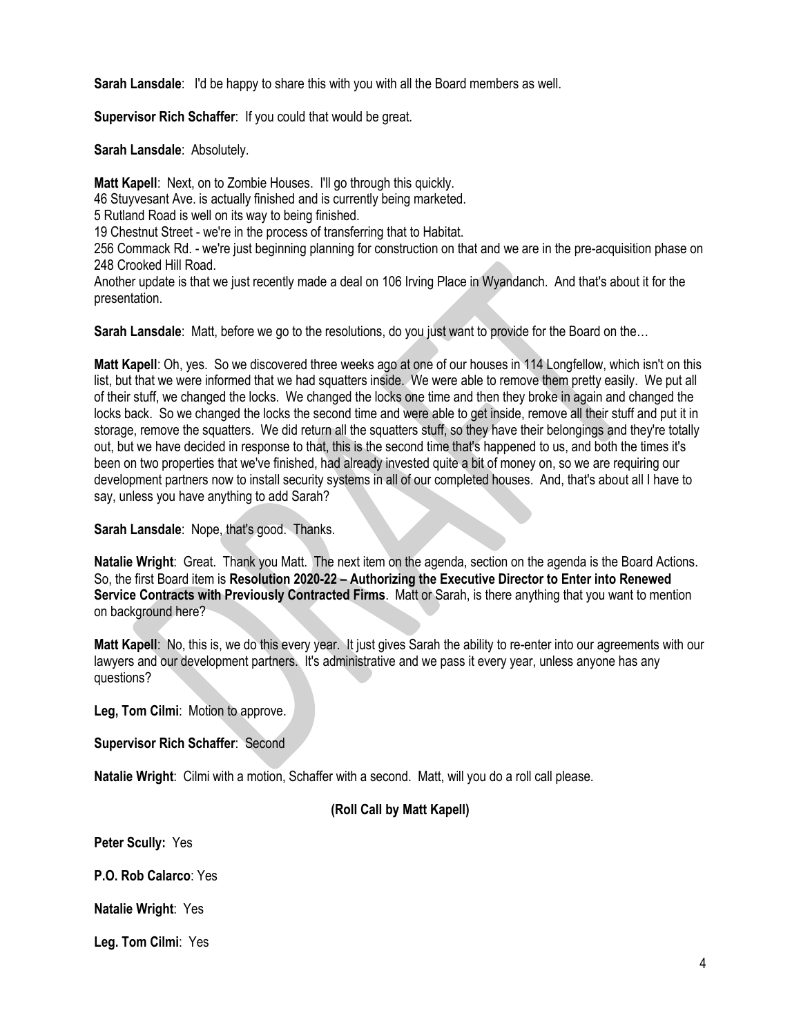**Sarah Lansdale**: I'd be happy to share this with you with all the Board members as well.

**Supervisor Rich Schaffer**: If you could that would be great.

**Sarah Lansdale**: Absolutely.

**Matt Kapell:** Next, on to Zombie Houses. I'll go through this quickly. 46 Stuyvesant Ave. is actually finished and is currently being marketed. 5 Rutland Road is well on its way to being finished.

19 Chestnut Street - we're in the process of transferring that to Habitat.

256 Commack Rd. - we're just beginning planning for construction on that and we are in the pre-acquisition phase on 248 Crooked Hill Road.

Another update is that we just recently made a deal on 106 Irving Place in Wyandanch. And that's about it for the presentation.

**Sarah Lansdale**: Matt, before we go to the resolutions, do you just want to provide for the Board on the...

**Matt Kapell**: Oh, yes. So we discovered three weeks ago at one of our houses in 114 Longfellow, which isn't on this list, but that we were informed that we had squatters inside. We were able to remove them pretty easily. We put all of their stuff, we changed the locks. We changed the locks one time and then they broke in again and changed the locks back. So we changed the locks the second time and were able to get inside, remove all their stuff and put it in storage, remove the squatters. We did return all the squatters stuff, so they have their belongings and they're totally out, but we have decided in response to that, this is the second time that's happened to us, and both the times it's been on two properties that we've finished, had already invested quite a bit of money on, so we are requiring our development partners now to install security systems in all of our completed houses. And, that's about all I have to say, unless you have anything to add Sarah?

**Sarah Lansdale**: Nope, that's good. Thanks.

**Natalie Wright**: Great. Thank you Matt. The next item on the agenda, section on the agenda is the Board Actions. So, the first Board item is **Resolution 2020-22 – Authorizing the Executive Director to Enter into Renewed Service Contracts with Previously Contracted Firms**. Matt or Sarah, is there anything that you want to mention on background here?

**Matt Kapell**: No, this is, we do this every year. It just gives Sarah the ability to re-enter into our agreements with our lawyers and our development partners. It's administrative and we pass it every year, unless anyone has any questions?

**Leg, Tom Cilmi**: Motion to approve.

**Supervisor Rich Schaffer**: Second

**Natalie Wright**: Cilmi with a motion, Schaffer with a second. Matt, will you do a roll call please.

# **(Roll Call by Matt Kapell)**

**Peter Scully:** Yes

**P.O. Rob Calarco**: Yes

**Natalie Wright**: Yes

**Leg. Tom Cilmi**: Yes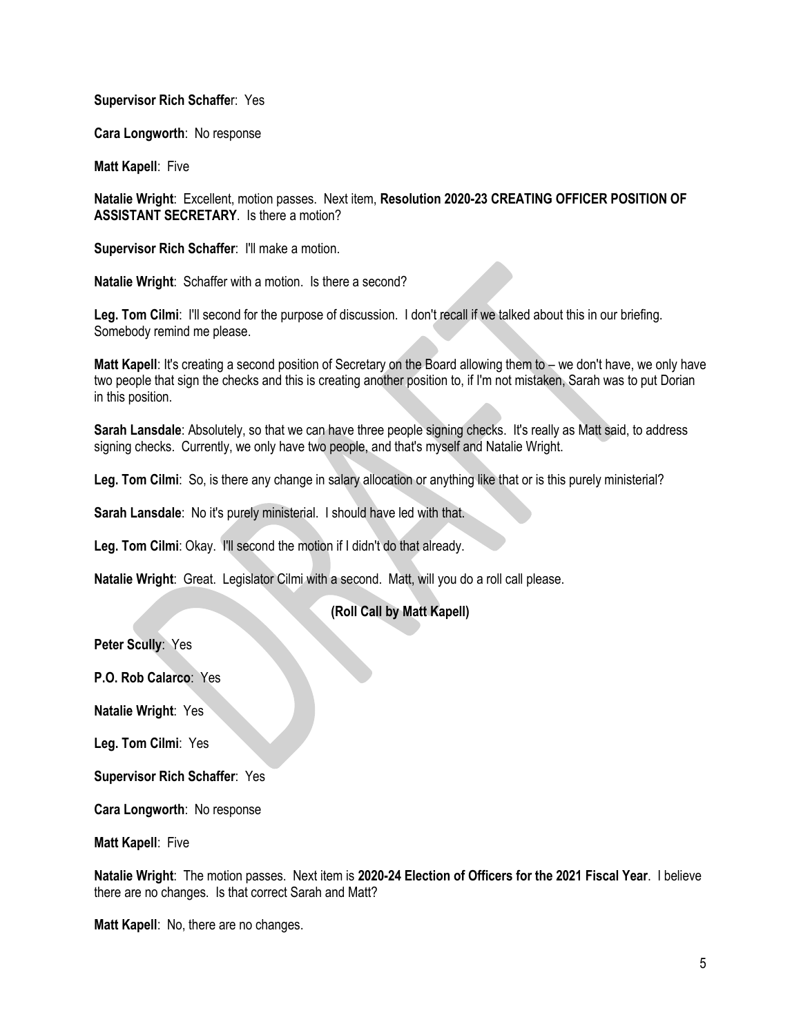### **Supervisor Rich Schaffe**r: Yes

**Cara Longworth**: No response

**Matt Kapell**: Five

**Natalie Wright**: Excellent, motion passes. Next item, **Resolution 2020-23 CREATING OFFICER POSITION OF ASSISTANT SECRETARY**. Is there a motion?

**Supervisor Rich Schaffer: I'll make a motion.** 

**Natalie Wright**: Schaffer with a motion. Is there a second?

**Leg. Tom Cilmi**: I'll second for the purpose of discussion. I don't recall if we talked about this in our briefing. Somebody remind me please.

**Matt Kapell**: It's creating a second position of Secretary on the Board allowing them to – we don't have, we only have two people that sign the checks and this is creating another position to, if I'm not mistaken, Sarah was to put Dorian in this position.

**Sarah Lansdale**: Absolutely, so that we can have three people signing checks. It's really as Matt said, to address signing checks. Currently, we only have two people, and that's myself and Natalie Wright.

**Leg. Tom Cilmi**: So, is there any change in salary allocation or anything like that or is this purely ministerial?

**Sarah Lansdale: No it's purely ministerial. I should have led with that.** 

**Leg. Tom Cilmi**: Okay. I'll second the motion if I didn't do that already.

**Natalie Wright**: Great. Legislator Cilmi with a second. Matt, will you do a roll call please.

# **(Roll Call by Matt Kapell)**

**Peter Scully**: Yes

**P.O. Rob Calarco**: Yes

**Natalie Wright**: Yes

**Leg. Tom Cilmi**: Yes

**Supervisor Rich Schaffer**: Yes

**Cara Longworth**: No response

**Matt Kapell**: Five

**Natalie Wright**: The motion passes. Next item is **2020-24 Election of Officers for the 2021 Fiscal Year**. I believe there are no changes. Is that correct Sarah and Matt?

**Matt Kapell**: No, there are no changes.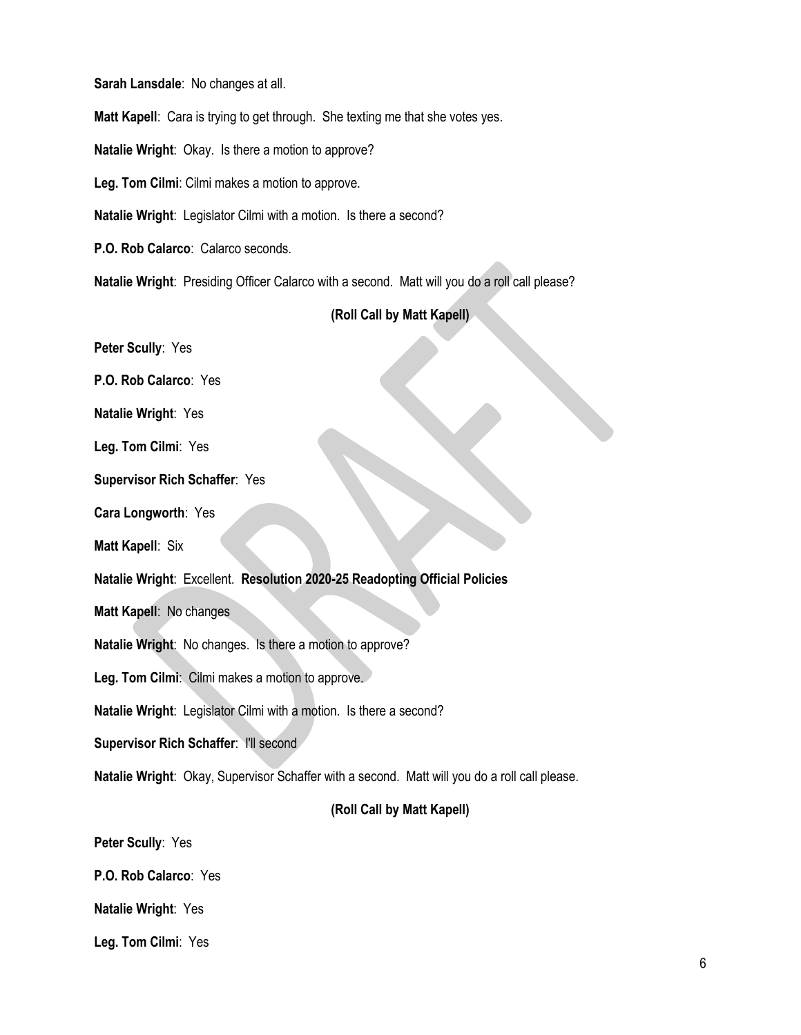**Sarah Lansdale**: No changes at all. **Matt Kapell**: Cara is trying to get through. She texting me that she votes yes. **Natalie Wright**: Okay. Is there a motion to approve? **Leg. Tom Cilmi**: Cilmi makes a motion to approve. **Natalie Wright**: Legislator Cilmi with a motion. Is there a second? **P.O. Rob Calarco**: Calarco seconds.

**Natalie Wright**: Presiding Officer Calarco with a second. Matt will you do a roll call please?

# **(Roll Call by Matt Kapell)**

**Peter Scully**: Yes

**P.O. Rob Calarco**: Yes

**Natalie Wright**: Yes

**Leg. Tom Cilmi**: Yes

**Supervisor Rich Schaffer**: Yes

**Cara Longworth**: Yes

**Matt Kapell**: Six

**Natalie Wright**: Excellent. **Resolution 2020-25 Readopting Official Policies**

**Matt Kapell**: No changes

**Natalie Wright**: No changes. Is there a motion to approve?

**Leg. Tom Cilmi**: Cilmi makes a motion to approve.

**Natalie Wright**: Legislator Cilmi with a motion. Is there a second?

**Supervisor Rich Schaffer**: I'll second

**Natalie Wright**: Okay, Supervisor Schaffer with a second. Matt will you do a roll call please.

# **(Roll Call by Matt Kapell)**

**Peter Scully**: Yes

**P.O. Rob Calarco**: Yes

**Natalie Wright**: Yes

**Leg. Tom Cilmi**: Yes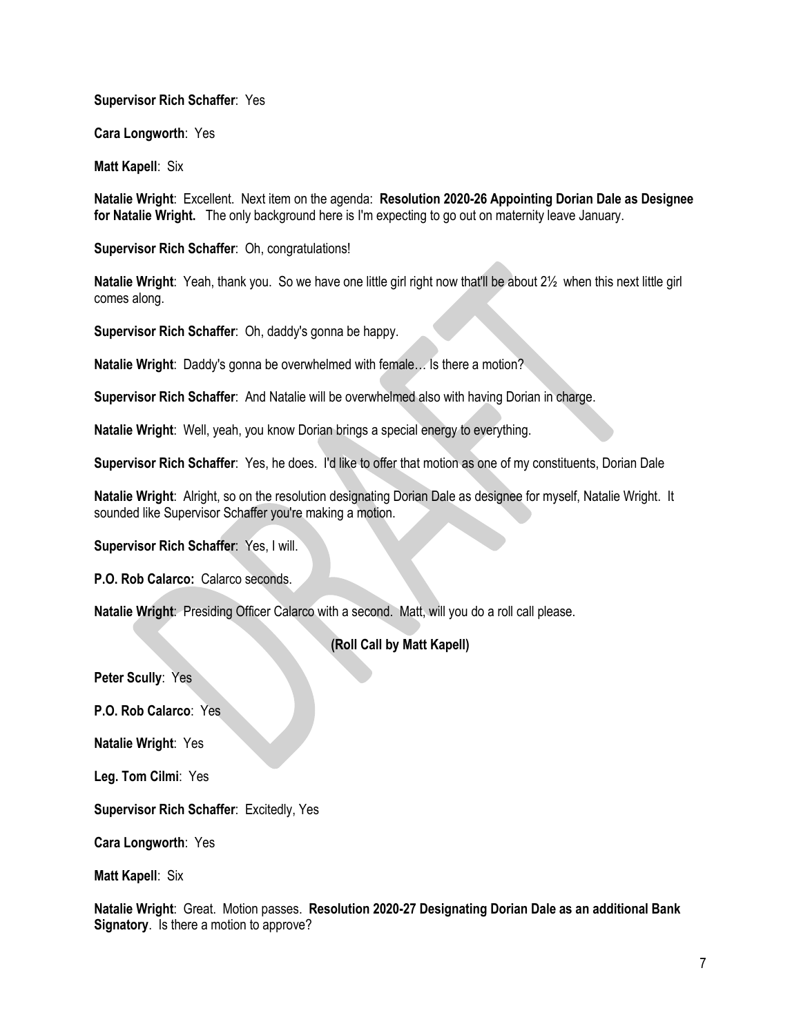# **Supervisor Rich Schaffer**: Yes

**Cara Longworth**: Yes

**Matt Kapell**: Six

**Natalie Wright**: Excellent. Next item on the agenda: **Resolution 2020-26 Appointing Dorian Dale as Designee for Natalie Wright.** The only background here is I'm expecting to go out on maternity leave January.

**Supervisor Rich Schaffer**: Oh, congratulations!

**Natalie Wright**: Yeah, thank you. So we have one little girl right now that'll be about 2½ when this next little girl comes along.

**Supervisor Rich Schaffer**: Oh, daddy's gonna be happy.

**Natalie Wright**: Daddy's gonna be overwhelmed with female… Is there a motion?

**Supervisor Rich Schaffer**: And Natalie will be overwhelmed also with having Dorian in charge.

**Natalie Wright**: Well, yeah, you know Dorian brings a special energy to everything.

**Supervisor Rich Schaffer**: Yes, he does. I'd like to offer that motion as one of my constituents, Dorian Dale

**Natalie Wright**: Alright, so on the resolution designating Dorian Dale as designee for myself, Natalie Wright. It sounded like Supervisor Schaffer you're making a motion.

**Supervisor Rich Schaffer**: Yes, I will.

**P.O. Rob Calarco:** Calarco seconds.

**Natalie Wright**: Presiding Officer Calarco with a second. Matt, will you do a roll call please.

# **(Roll Call by Matt Kapell)**

**Peter Scully**: Yes

**P.O. Rob Calarco**: Yes

**Natalie Wright**: Yes

**Leg. Tom Cilmi**: Yes

**Supervisor Rich Schaffer**: Excitedly, Yes

**Cara Longworth**: Yes

**Matt Kapell**: Six

**Natalie Wright**: Great. Motion passes. **Resolution 2020-27 Designating Dorian Dale as an additional Bank Signatory**. Is there a motion to approve?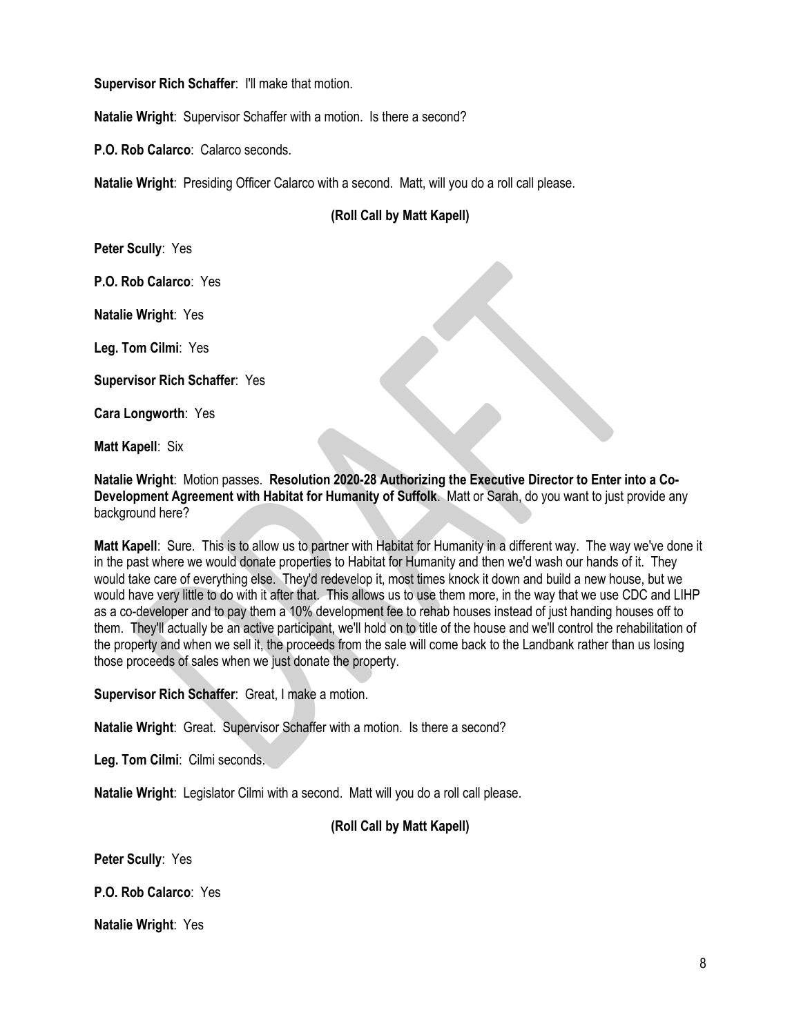**Supervisor Rich Schaffer**: I'll make that motion.

**Natalie Wright**: Supervisor Schaffer with a motion. Is there a second?

**P.O. Rob Calarco**: Calarco seconds.

**Natalie Wright**: Presiding Officer Calarco with a second. Matt, will you do a roll call please.

# **(Roll Call by Matt Kapell)**

**Peter Scully**: Yes

**P.O. Rob Calarco**: Yes

**Natalie Wright**: Yes

**Leg. Tom Cilmi**: Yes

**Supervisor Rich Schaffer**: Yes

**Cara Longworth**: Yes

**Matt Kapell**: Six

**Natalie Wright**: Motion passes. **Resolution 2020-28 Authorizing the Executive Director to Enter into a Co-Development Agreement with Habitat for Humanity of Suffolk**. Matt or Sarah, do you want to just provide any background here?

**Matt Kapell**: Sure. This is to allow us to partner with Habitat for Humanity in a different way. The way we've done it in the past where we would donate properties to Habitat for Humanity and then we'd wash our hands of it. They would take care of everything else. They'd redevelop it, most times knock it down and build a new house, but we would have very little to do with it after that. This allows us to use them more, in the way that we use CDC and LIHP as a co-developer and to pay them a 10% development fee to rehab houses instead of just handing houses off to them. They'll actually be an active participant, we'll hold on to title of the house and we'll control the rehabilitation of the property and when we sell it, the proceeds from the sale will come back to the Landbank rather than us losing those proceeds of sales when we just donate the property.

**Supervisor Rich Schaffer**: Great, I make a motion.

**Natalie Wright**: Great. Supervisor Schaffer with a motion. Is there a second?

**Leg. Tom Cilmi**: Cilmi seconds.

**Natalie Wright**: Legislator Cilmi with a second. Matt will you do a roll call please.

# **(Roll Call by Matt Kapell)**

**Peter Scully**: Yes

**P.O. Rob Calarco**: Yes

**Natalie Wright**: Yes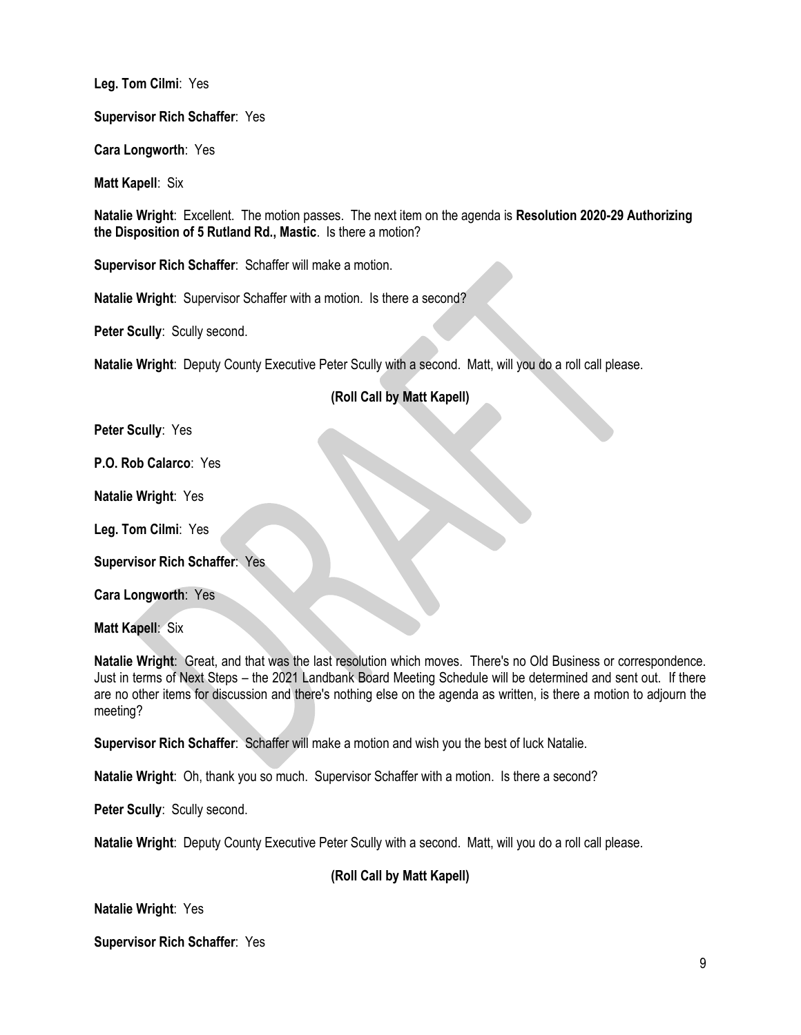**Leg. Tom Cilmi**: Yes

**Supervisor Rich Schaffer**: Yes

**Cara Longworth**: Yes

**Matt Kapell**: Six

**Natalie Wright**: Excellent. The motion passes. The next item on the agenda is **Resolution 2020-29 Authorizing the Disposition of 5 Rutland Rd., Mastic**. Is there a motion?

**Supervisor Rich Schaffer**: Schaffer will make a motion.

**Natalie Wright**: Supervisor Schaffer with a motion. Is there a second?

**Peter Scully**: Scully second.

**Natalie Wright**: Deputy County Executive Peter Scully with a second. Matt, will you do a roll call please.

# **(Roll Call by Matt Kapell)**

**Peter Scully**: Yes

**P.O. Rob Calarco**: Yes

**Natalie Wright**: Yes

**Leg. Tom Cilmi**: Yes

**Supervisor Rich Schaffer**: Yes

**Cara Longworth**: Yes

**Matt Kapell**: Six

**Natalie Wright**: Great, and that was the last resolution which moves. There's no Old Business or correspondence. Just in terms of Next Steps – the 2021 Landbank Board Meeting Schedule will be determined and sent out. If there are no other items for discussion and there's nothing else on the agenda as written, is there a motion to adjourn the meeting?

**Supervisor Rich Schaffer**: Schaffer will make a motion and wish you the best of luck Natalie.

**Natalie Wright**: Oh, thank you so much. Supervisor Schaffer with a motion. Is there a second?

**Peter Scully**: Scully second.

**Natalie Wright**: Deputy County Executive Peter Scully with a second. Matt, will you do a roll call please.

# **(Roll Call by Matt Kapell)**

**Natalie Wright**: Yes

**Supervisor Rich Schaffer**: Yes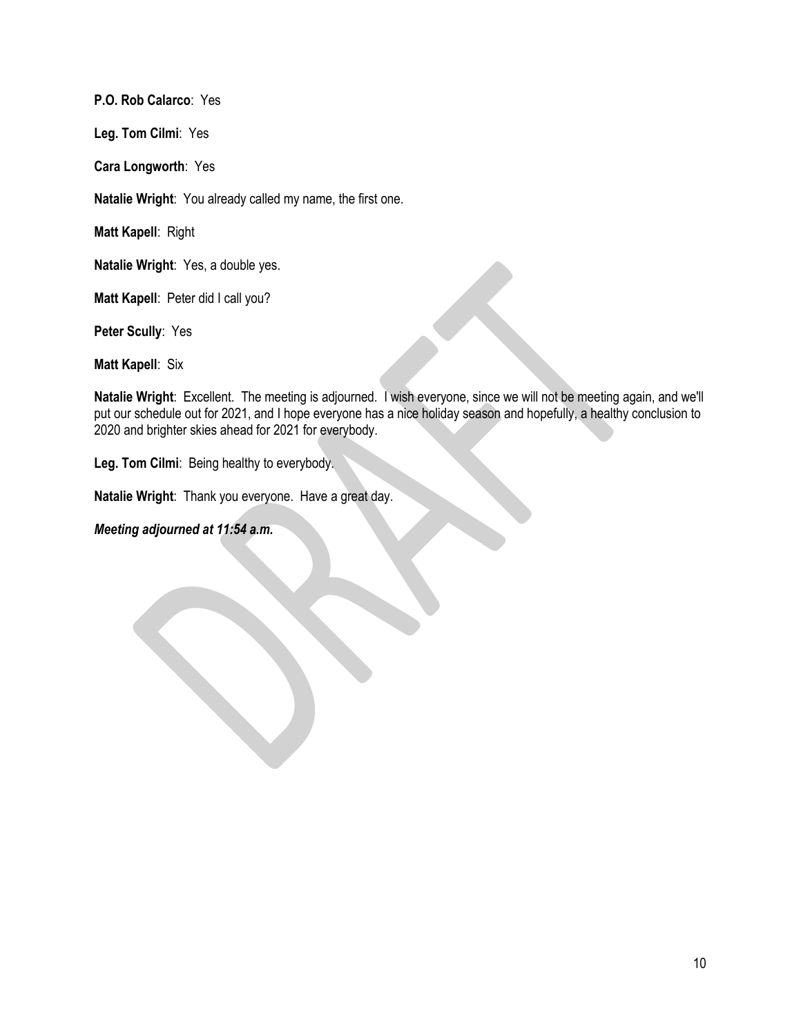**P.O. Rob Calarco**: Yes

**Leg. Tom Cilmi**: Yes

**Cara Longworth**: Yes

**Natalie Wright**: You already called my name, the first one.

**Matt Kapell**: Right

**Natalie Wright**: Yes, a double yes.

**Matt Kapell**: Peter did I call you?

**Peter Scully**: Yes

**Matt Kapell**: Six

**Natalie Wright**: Excellent. The meeting is adjourned. I wish everyone, since we will not be meeting again, and we'll put our schedule out for 2021, and I hope everyone has a nice holiday season and hopefully, a healthy conclusion to 2020 and brighter skies ahead for 2021 for everybody.

**Leg. Tom Cilmi**: Being healthy to everybody.

**Natalie Wright**: Thank you everyone. Have a great day.

*Meeting adjourned at 11:54 a.m.*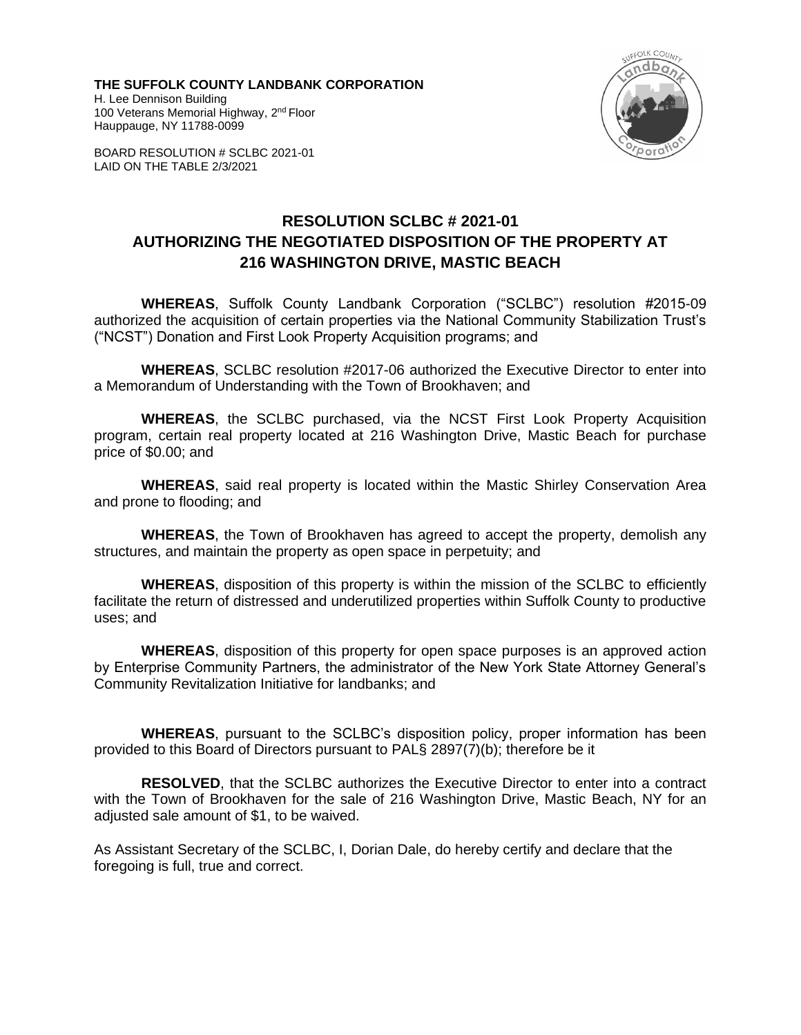**THE SUFFOLK COUNTY LANDBANK CORPORATION** H. Lee Dennison Building 100 Veterans Memorial Highway, 2<sup>nd</sup> Floor Hauppauge, NY 11788-0099



BOARD RESOLUTION # SCLBC 2021-01 LAID ON THE TABLE 2/3/2021

# **RESOLUTION SCLBC # 2021-01 AUTHORIZING THE NEGOTIATED DISPOSITION OF THE PROPERTY AT 216 WASHINGTON DRIVE, MASTIC BEACH**

**WHEREAS**, Suffolk County Landbank Corporation ("SCLBC") resolution #2015-09 authorized the acquisition of certain properties via the National Community Stabilization Trust's ("NCST") Donation and First Look Property Acquisition programs; and

**WHEREAS**, SCLBC resolution #2017-06 authorized the Executive Director to enter into a Memorandum of Understanding with the Town of Brookhaven; and

**WHEREAS**, the SCLBC purchased, via the NCST First Look Property Acquisition program, certain real property located at 216 Washington Drive, Mastic Beach for purchase price of \$0.00; and

**WHEREAS**, said real property is located within the Mastic Shirley Conservation Area and prone to flooding; and

**WHEREAS**, the Town of Brookhaven has agreed to accept the property, demolish any structures, and maintain the property as open space in perpetuity; and

**WHEREAS**, disposition of this property is within the mission of the SCLBC to efficiently facilitate the return of distressed and underutilized properties within Suffolk County to productive uses; and

**WHEREAS**, disposition of this property for open space purposes is an approved action by Enterprise Community Partners, the administrator of the New York State Attorney General's Community Revitalization Initiative for landbanks; and

**WHEREAS**, pursuant to the SCLBC's disposition policy, proper information has been provided to this Board of Directors pursuant to PAL§ 2897(7)(b); therefore be it

**RESOLVED**, that the SCLBC authorizes the Executive Director to enter into a contract with the Town of Brookhaven for the sale of 216 Washington Drive, Mastic Beach, NY for an adjusted sale amount of \$1, to be waived.

As Assistant Secretary of the SCLBC, I, Dorian Dale, do hereby certify and declare that the foregoing is full, true and correct.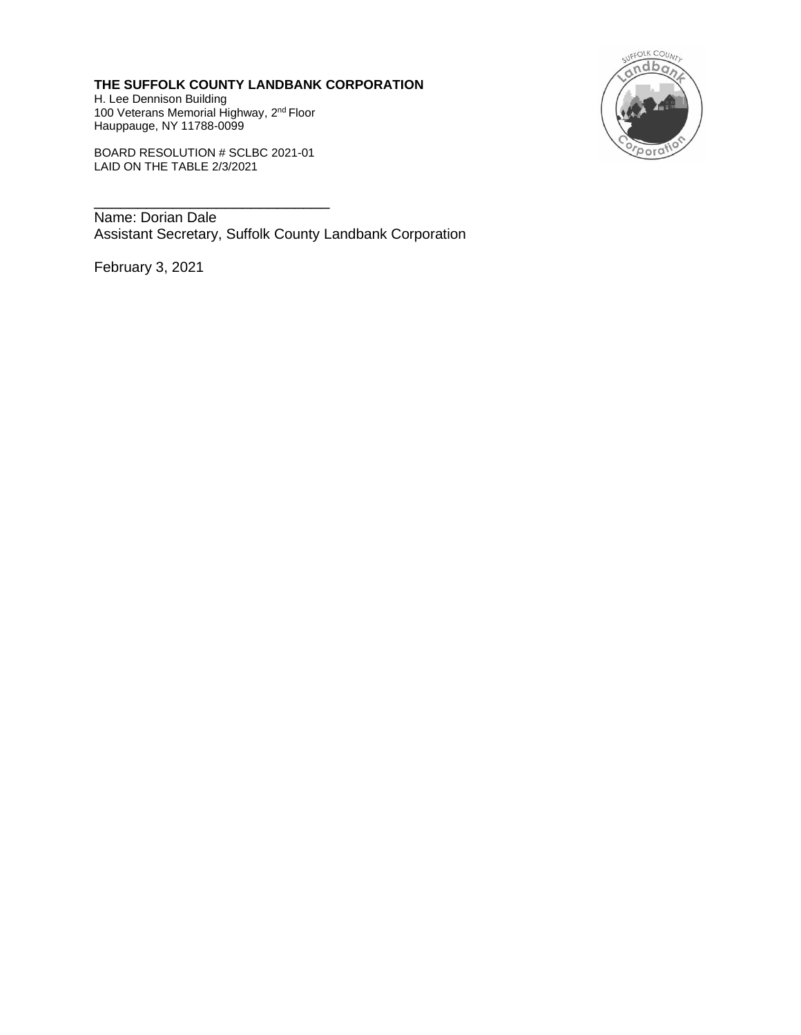**THE SUFFOLK COUNTY LANDBANK CORPORATION** H. Lee Dennison Building 100 Veterans Memorial Highway, 2<sup>nd</sup> Floor Hauppauge, NY 11788-0099



BOARD RESOLUTION # SCLBC 2021-01 LAID ON THE TABLE 2/3/2021

\_\_\_\_\_\_\_\_\_\_\_\_\_\_\_\_\_\_\_\_\_\_\_\_\_\_\_

Name: Dorian Dale Assistant Secretary, Suffolk County Landbank Corporation

February 3, 2021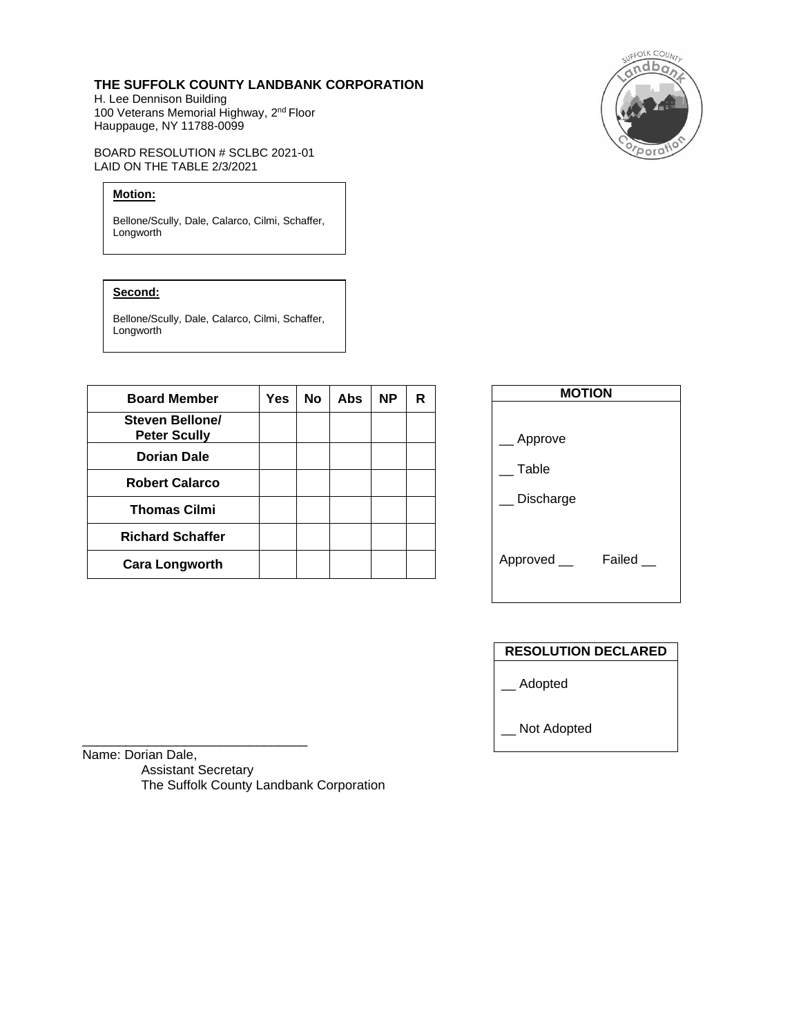#### **THE SUFFOLK COUNTY LANDBANK CORPORATION**

H. Lee Dennison Building 100 Veterans Memorial Highway, 2<sup>nd</sup> Floor Hauppauge, NY 11788-0099

BOARD RESOLUTION # SCLBC 2021-01 LAID ON THE TABLE 2/3/2021

# **Motion:**

Bellone/Scully, Dale, Calarco, Cilmi, Schaffer, Longworth

### **Second:**

Bellone/Scully, Dale, Calarco, Cilmi, Schaffer, Longworth

| <b>Board Member</b>                    | Yes | <b>No</b> | <b>Abs</b> | <b>NP</b> | R |
|----------------------------------------|-----|-----------|------------|-----------|---|
| Steven Bellone/<br><b>Peter Scully</b> |     |           |            |           |   |
| Dorian Dale                            |     |           |            |           |   |
| <b>Robert Calarco</b>                  |     |           |            |           |   |
| <b>Thomas Cilmi</b>                    |     |           |            |           |   |
| <b>Richard Schaffer</b>                |     |           |            |           |   |
| <b>Cara Longworth</b>                  |     |           |            |           |   |



# **RESOLUTION DECLARED**

\_\_ Adopted

\_\_ Not Adopted

Name: Dorian Dale, Assistant Secretary The Suffolk County Landbank Corporation

\_\_\_\_\_\_\_\_\_\_\_\_\_\_\_\_\_\_\_\_\_\_\_\_\_\_\_\_\_\_\_

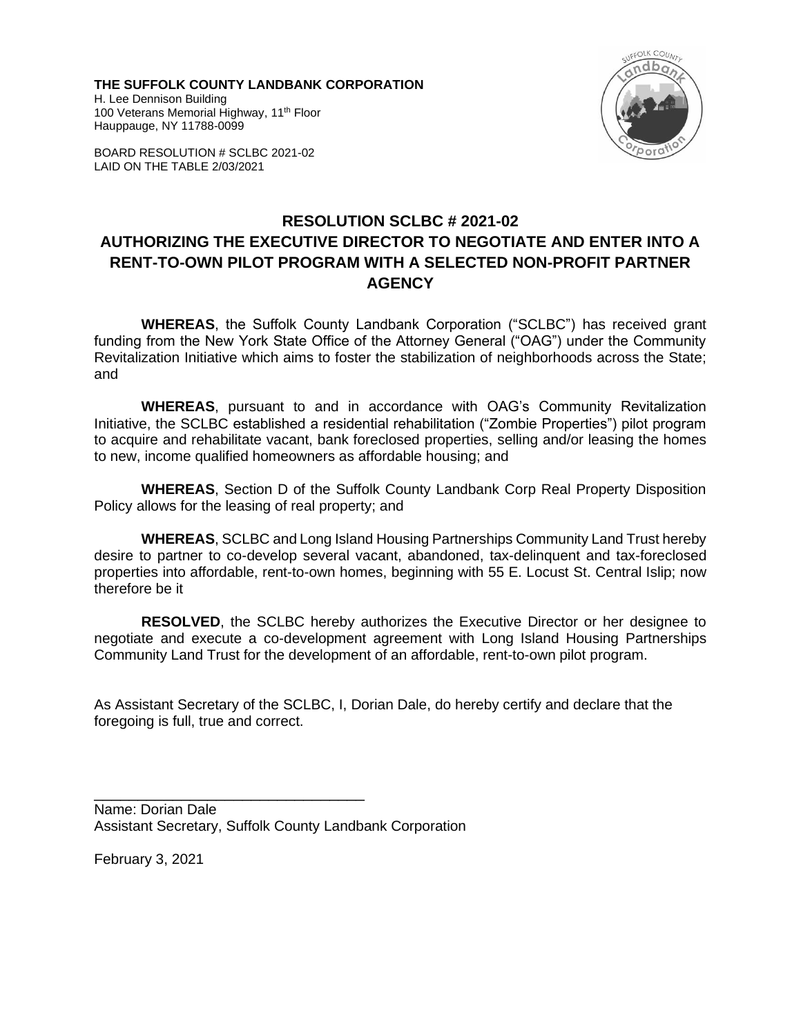**THE SUFFOLK COUNTY LANDBANK CORPORATION** H. Lee Dennison Building 100 Veterans Memorial Highway, 11<sup>th</sup> Floor Hauppauge, NY 11788-0099





# **RESOLUTION SCLBC # 2021-02 AUTHORIZING THE EXECUTIVE DIRECTOR TO NEGOTIATE AND ENTER INTO A RENT-TO-OWN PILOT PROGRAM WITH A SELECTED NON-PROFIT PARTNER AGENCY**

**WHEREAS**, the Suffolk County Landbank Corporation ("SCLBC") has received grant funding from the New York State Office of the Attorney General ("OAG") under the Community Revitalization Initiative which aims to foster the stabilization of neighborhoods across the State; and

**WHEREAS**, pursuant to and in accordance with OAG's Community Revitalization Initiative, the SCLBC established a residential rehabilitation ("Zombie Properties") pilot program to acquire and rehabilitate vacant, bank foreclosed properties, selling and/or leasing the homes to new, income qualified homeowners as affordable housing; and

**WHEREAS**, Section D of the Suffolk County Landbank Corp Real Property Disposition Policy allows for the leasing of real property; and

**WHEREAS**, SCLBC and Long Island Housing Partnerships Community Land Trust hereby desire to partner to co-develop several vacant, abandoned, tax-delinquent and tax-foreclosed properties into affordable, rent-to-own homes, beginning with 55 E. Locust St. Central Islip; now therefore be it

**RESOLVED**, the SCLBC hereby authorizes the Executive Director or her designee to negotiate and execute a co-development agreement with Long Island Housing Partnerships Community Land Trust for the development of an affordable, rent-to-own pilot program.

As Assistant Secretary of the SCLBC, I, Dorian Dale, do hereby certify and declare that the foregoing is full, true and correct.

Name: Dorian Dale Assistant Secretary, Suffolk County Landbank Corporation

\_\_\_\_\_\_\_\_\_\_\_\_\_\_\_\_\_\_\_\_\_\_\_\_\_\_\_\_\_\_\_

February 3, 2021